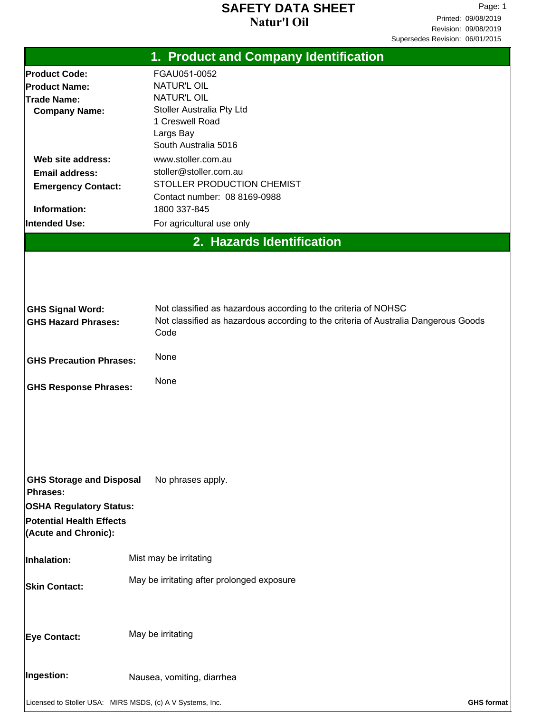#### **Natur'l Oil SAFETY DATA SHEET**

Page: 1 Printed: 09/08/2019 Revision: 09/08/2019 Supersedes Revision: 06/01/2015

|                                                                                           | 1. Product and Company Identification                                                      |
|-------------------------------------------------------------------------------------------|--------------------------------------------------------------------------------------------|
| <b>Product Code:</b>                                                                      | FGAU051-0052                                                                               |
| <b>Product Name:</b>                                                                      | <b>NATUR'L OIL</b>                                                                         |
| <b>Trade Name:</b>                                                                        | <b>NATUR'L OIL</b>                                                                         |
| <b>Company Name:</b>                                                                      | Stoller Australia Pty Ltd                                                                  |
|                                                                                           | 1 Creswell Road                                                                            |
|                                                                                           | Largs Bay                                                                                  |
|                                                                                           | South Australia 5016                                                                       |
| Web site address:                                                                         | www.stoller.com.au                                                                         |
| <b>Email address:</b>                                                                     | stoller@stoller.com.au                                                                     |
| <b>Emergency Contact:</b>                                                                 | STOLLER PRODUCTION CHEMIST<br>Contact number: 08 8169-0988                                 |
| Information:                                                                              | 1800 337-845                                                                               |
| Intended Use:                                                                             | For agricultural use only                                                                  |
|                                                                                           |                                                                                            |
|                                                                                           | 2. Hazards Identification                                                                  |
| <b>GHS Signal Word:</b>                                                                   | Not classified as hazardous according to the criteria of NOHSC                             |
| <b>GHS Hazard Phrases:</b>                                                                | Not classified as hazardous according to the criteria of Australia Dangerous Goods<br>Code |
| <b>GHS Precaution Phrases:</b>                                                            | None                                                                                       |
| <b>GHS Response Phrases:</b>                                                              | None                                                                                       |
|                                                                                           |                                                                                            |
| <b>GHS Storage and Disposal</b><br><b>Phrases:</b>                                        | No phrases apply.                                                                          |
| <b>OSHA Regulatory Status:</b><br><b>Potential Health Effects</b><br>(Acute and Chronic): |                                                                                            |
| Inhalation:                                                                               | Mist may be irritating                                                                     |
| <b>Skin Contact:</b>                                                                      | May be irritating after prolonged exposure                                                 |
| Eye Contact:                                                                              | May be irritating                                                                          |
| Ingestion:                                                                                | Nausea, vomiting, diarrhea                                                                 |
| Licensed to Stoller USA: MIRS MSDS, (c) A V Systems, Inc.                                 | <b>GHS format</b>                                                                          |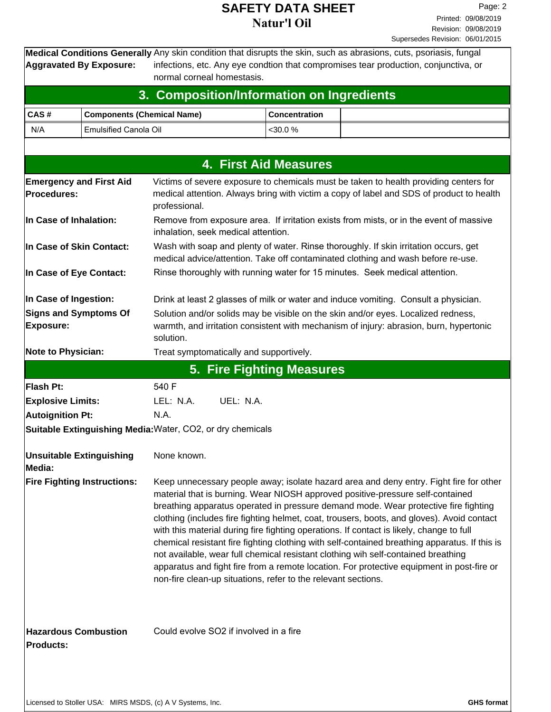### **SAFETY DATA SHEET**<br> **SAFETY DATA SHEET Natur'l Oil**

**Aggravated By Exposure:**

Medical Conditions Generally Any skin condition that disrupts the skin, such as abrasions, cuts, psoriasis, fungal infections, etc. Any eye condtion that compromises tear production, conjunctiva, or normal corneal homestasis.

|                                                                           |                                    | 3. Composition/Information on Ingredients                     |                              |                                                                                                                                                                                                                                                                                                                                                                                                                                                                                                                                                                                                                                                                                                                                              |
|---------------------------------------------------------------------------|------------------------------------|---------------------------------------------------------------|------------------------------|----------------------------------------------------------------------------------------------------------------------------------------------------------------------------------------------------------------------------------------------------------------------------------------------------------------------------------------------------------------------------------------------------------------------------------------------------------------------------------------------------------------------------------------------------------------------------------------------------------------------------------------------------------------------------------------------------------------------------------------------|
| CAS#                                                                      | <b>Components (Chemical Name)</b>  |                                                               | <b>Concentration</b>         |                                                                                                                                                                                                                                                                                                                                                                                                                                                                                                                                                                                                                                                                                                                                              |
| N/A                                                                       | <b>Emulsified Canola Oil</b>       |                                                               | <30.0 %                      |                                                                                                                                                                                                                                                                                                                                                                                                                                                                                                                                                                                                                                                                                                                                              |
|                                                                           |                                    |                                                               |                              |                                                                                                                                                                                                                                                                                                                                                                                                                                                                                                                                                                                                                                                                                                                                              |
|                                                                           |                                    |                                                               | <b>4. First Aid Measures</b> |                                                                                                                                                                                                                                                                                                                                                                                                                                                                                                                                                                                                                                                                                                                                              |
| <b>Emergency and First Aid</b><br>Procedures:                             |                                    | professional.                                                 |                              | Victims of severe exposure to chemicals must be taken to health providing centers for<br>medical attention. Always bring with victim a copy of label and SDS of product to health                                                                                                                                                                                                                                                                                                                                                                                                                                                                                                                                                            |
| In Case of Inhalation:                                                    |                                    | inhalation, seek medical attention.                           |                              | Remove from exposure area. If irritation exists from mists, or in the event of massive                                                                                                                                                                                                                                                                                                                                                                                                                                                                                                                                                                                                                                                       |
| In Case of Skin Contact:                                                  |                                    |                                                               |                              | Wash with soap and plenty of water. Rinse thoroughly. If skin irritation occurs, get<br>medical advice/attention. Take off contaminated clothing and wash before re-use.                                                                                                                                                                                                                                                                                                                                                                                                                                                                                                                                                                     |
| In Case of Eye Contact:                                                   |                                    |                                                               |                              | Rinse thoroughly with running water for 15 minutes. Seek medical attention.                                                                                                                                                                                                                                                                                                                                                                                                                                                                                                                                                                                                                                                                  |
| In Case of Ingestion:<br><b>Signs and Symptoms Of</b><br><b>Exposure:</b> |                                    | solution.                                                     |                              | Drink at least 2 glasses of milk or water and induce vomiting. Consult a physician.<br>Solution and/or solids may be visible on the skin and/or eyes. Localized redness,<br>warmth, and irritation consistent with mechanism of injury: abrasion, burn, hypertonic                                                                                                                                                                                                                                                                                                                                                                                                                                                                           |
| <b>Note to Physician:</b>                                                 |                                    | Treat symptomatically and supportively.                       |                              |                                                                                                                                                                                                                                                                                                                                                                                                                                                                                                                                                                                                                                                                                                                                              |
|                                                                           |                                    | 5. Fire Fighting Measures                                     |                              |                                                                                                                                                                                                                                                                                                                                                                                                                                                                                                                                                                                                                                                                                                                                              |
| <b>Flash Pt:</b>                                                          |                                    | 540 F                                                         |                              |                                                                                                                                                                                                                                                                                                                                                                                                                                                                                                                                                                                                                                                                                                                                              |
| <b>Explosive Limits:</b>                                                  |                                    | LEL: N.A.<br>UEL: N.A.                                        |                              |                                                                                                                                                                                                                                                                                                                                                                                                                                                                                                                                                                                                                                                                                                                                              |
| <b>Autoignition Pt:</b>                                                   |                                    | N.A.                                                          |                              |                                                                                                                                                                                                                                                                                                                                                                                                                                                                                                                                                                                                                                                                                                                                              |
|                                                                           |                                    | Suitable Extinguishing Media: Water, CO2, or dry chemicals    |                              |                                                                                                                                                                                                                                                                                                                                                                                                                                                                                                                                                                                                                                                                                                                                              |
| <b>Unsuitable Extinguishing</b><br>Media:                                 |                                    | None known.                                                   |                              |                                                                                                                                                                                                                                                                                                                                                                                                                                                                                                                                                                                                                                                                                                                                              |
|                                                                           | <b>Fire Fighting Instructions:</b> | non-fire clean-up situations, refer to the relevant sections. |                              | Keep unnecessary people away; isolate hazard area and deny entry. Fight fire for other<br>material that is burning. Wear NIOSH approved positive-pressure self-contained<br>breathing apparatus operated in pressure demand mode. Wear protective fire fighting<br>clothing (includes fire fighting helmet, coat, trousers, boots, and gloves). Avoid contact<br>with this material during fire fighting operations. If contact is likely, change to full<br>chemical resistant fire fighting clothing with self-contained breathing apparatus. If this is<br>not available, wear full chemical resistant clothing wih self-contained breathing<br>apparatus and fight fire from a remote location. For protective equipment in post-fire or |
| <b>Hazardous Combustion</b><br><b>Products:</b>                           |                                    | Could evolve SO2 if involved in a fire                        |                              |                                                                                                                                                                                                                                                                                                                                                                                                                                                                                                                                                                                                                                                                                                                                              |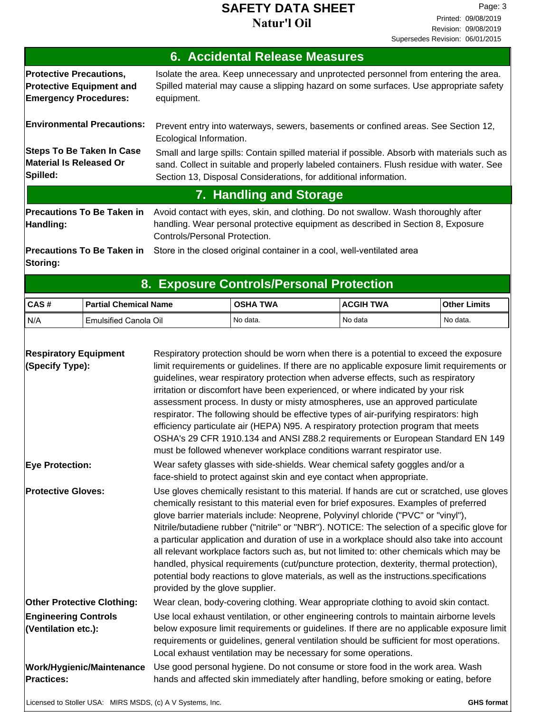### **SAFETY DATA SHEET** Page: 3 **Natur'l Oil**

|                                                                                                   | <b>6. Accidental Release Measures</b>                                                                                                                                                                                                                       |
|---------------------------------------------------------------------------------------------------|-------------------------------------------------------------------------------------------------------------------------------------------------------------------------------------------------------------------------------------------------------------|
| <b>Protective Precautions,</b><br><b>Protective Equipment and</b><br><b>Emergency Procedures:</b> | Isolate the area. Keep unnecessary and unprotected personnel from entering the area.<br>Spilled material may cause a slipping hazard on some surfaces. Use appropriate safety<br>equipment.                                                                 |
| <b>Environmental Precautions:</b>                                                                 | Prevent entry into waterways, sewers, basements or confined areas. See Section 12,<br>Ecological Information.                                                                                                                                               |
| <b>Steps To Be Taken In Case</b><br>Material Is Released Or<br>Spilled:                           | Small and large spills: Contain spilled material if possible. Absorb with materials such as<br>sand. Collect in suitable and properly labeled containers. Flush residue with water. See<br>Section 13, Disposal Considerations, for additional information. |
|                                                                                                   | 7. Handling and Storage                                                                                                                                                                                                                                     |
| <b>Precautions To Be Taken in</b><br>Handling:                                                    | Avoid contact with eyes, skin, and clothing. Do not swallow. Wash thoroughly after<br>handling. Wear personal protective equipment as described in Section 8, Exposure<br>Controls/Personal Protection.                                                     |
| <b>Precautions To Be Taken in</b><br>Storing:                                                     | Store in the closed original container in a cool, well-ventilated area                                                                                                                                                                                      |

# **8. Exposure Controls/Personal Protection**

| ICAS# | l Partial Chemical Name | TWA<br><b>OSHA</b> | <b>ACGIH TWA</b> | <b>Other Limits</b> |
|-------|-------------------------|--------------------|------------------|---------------------|
| I N/A | Emulsified Canola Oil   | I No data.         | No data          | No data.            |

| <b>Respiratory Equipment</b><br>(Specify Type):           | Respiratory protection should be worn when there is a potential to exceed the exposure<br>limit requirements or guidelines. If there are no applicable exposure limit requirements or<br>guidelines, wear respiratory protection when adverse effects, such as respiratory<br>irritation or discomfort have been experienced, or where indicated by your risk<br>assessment process. In dusty or misty atmospheres, use an approved particulate<br>respirator. The following should be effective types of air-purifying respirators: high<br>efficiency particulate air (HEPA) N95. A respiratory protection program that meets<br>OSHA's 29 CFR 1910.134 and ANSI Z88.2 requirements or European Standard EN 149<br>must be followed whenever workplace conditions warrant respirator use.   |                   |
|-----------------------------------------------------------|-----------------------------------------------------------------------------------------------------------------------------------------------------------------------------------------------------------------------------------------------------------------------------------------------------------------------------------------------------------------------------------------------------------------------------------------------------------------------------------------------------------------------------------------------------------------------------------------------------------------------------------------------------------------------------------------------------------------------------------------------------------------------------------------------|-------------------|
| <b>Eye Protection:</b>                                    | Wear safety glasses with side-shields. Wear chemical safety goggles and/or a<br>face-shield to protect against skin and eye contact when appropriate.                                                                                                                                                                                                                                                                                                                                                                                                                                                                                                                                                                                                                                         |                   |
| <b>Protective Gloves:</b>                                 | Use gloves chemically resistant to this material. If hands are cut or scratched, use gloves<br>chemically resistant to this material even for brief exposures. Examples of preferred<br>glove barrier materials include: Neoprene, Polyvinyl chloride ("PVC" or "vinyl"),<br>Nitrile/butadiene rubber ("nitrile" or "NBR"). NOTICE: The selection of a specific glove for<br>a particular application and duration of use in a workplace should also take into account<br>all relevant workplace factors such as, but not limited to: other chemicals which may be<br>handled, physical requirements (cut/puncture protection, dexterity, thermal protection),<br>potential body reactions to glove materials, as well as the instructions. specifications<br>provided by the glove supplier. |                   |
| <b>Other Protective Clothing:</b>                         | Wear clean, body-covering clothing. Wear appropriate clothing to avoid skin contact.                                                                                                                                                                                                                                                                                                                                                                                                                                                                                                                                                                                                                                                                                                          |                   |
| <b>Engineering Controls</b><br>(Ventilation etc.):        | Use local exhaust ventilation, or other engineering controls to maintain airborne levels<br>below exposure limit requirements or guidelines. If there are no applicable exposure limit<br>requirements or guidelines, general ventilation should be sufficient for most operations.<br>Local exhaust ventilation may be necessary for some operations.                                                                                                                                                                                                                                                                                                                                                                                                                                        |                   |
| <b>Work/Hygienic/Maintenance</b><br><b>Practices:</b>     | Use good personal hygiene. Do not consume or store food in the work area. Wash<br>hands and affected skin immediately after handling, before smoking or eating, before                                                                                                                                                                                                                                                                                                                                                                                                                                                                                                                                                                                                                        |                   |
| Licensed to Stoller USA: MIRS MSDS, (c) A V Systems, Inc. |                                                                                                                                                                                                                                                                                                                                                                                                                                                                                                                                                                                                                                                                                                                                                                                               | <b>GHS format</b> |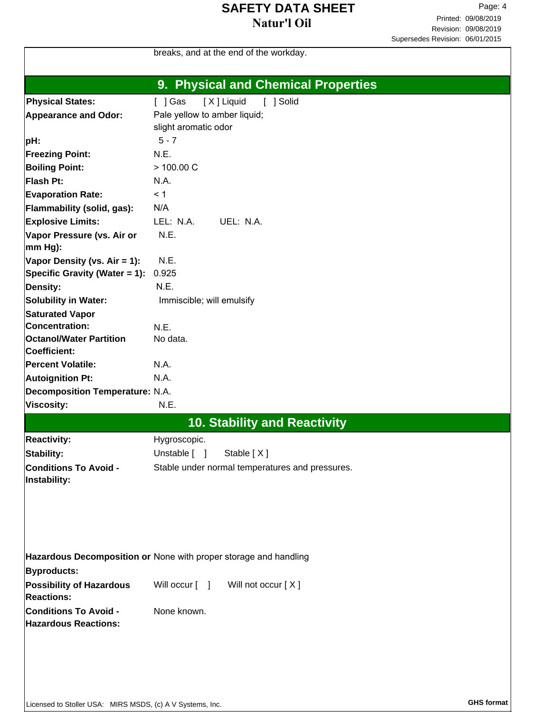### **SAFETY DATA SHEET** Page: 4 **Natur'l Oil**

|                                        | breaks, and at the end of the workday.                           |
|----------------------------------------|------------------------------------------------------------------|
|                                        | 9. Physical and Chemical Properties                              |
| <b>Physical States:</b>                | [ ] Solid<br>[X] Liquid<br>$[$ ] Gas                             |
| <b>Appearance and Odor:</b>            | Pale yellow to amber liquid;                                     |
|                                        | slight aromatic odor                                             |
| pH:                                    | $5 - 7$                                                          |
| <b>Freezing Point:</b>                 | N.E.                                                             |
| <b>Boiling Point:</b>                  | > 100.00 C                                                       |
| Flash Pt:                              | N.A.                                                             |
| <b>Evaporation Rate:</b>               | < 1                                                              |
| Flammability (solid, gas):             | N/A                                                              |
| <b>Explosive Limits:</b>               | LEL: N.A.<br>UEL: N.A.                                           |
| Vapor Pressure (vs. Air or             | N.E.                                                             |
| mm Hg):                                |                                                                  |
| Vapor Density (vs. Air = 1):           | N.E.                                                             |
| Specific Gravity (Water = 1):          | 0.925                                                            |
| <b>Density:</b>                        | N.E.                                                             |
| <b>Solubility in Water:</b>            | Immiscible; will emulsify                                        |
| <b>Saturated Vapor</b>                 |                                                                  |
| <b>Concentration:</b>                  | N.E.                                                             |
| <b>Octanol/Water Partition</b>         | No data.                                                         |
| Coefficient:                           |                                                                  |
| <b>Percent Volatile:</b>               | N.A.                                                             |
| <b>Autoignition Pt:</b>                | N.A.                                                             |
| <b>Decomposition Temperature: N.A.</b> |                                                                  |
| <b>Viscosity:</b>                      | N.E.                                                             |
|                                        | <b>10. Stability and Reactivity</b>                              |
|                                        |                                                                  |
| <b>Reactivity:</b>                     | Hygroscopic.                                                     |
| Stability:                             | Unstable [ ] Stable [X]                                          |
| <b>Conditions To Avoid -</b>           | Stable under normal temperatures and pressures.                  |
| Instability:                           |                                                                  |
|                                        |                                                                  |
|                                        |                                                                  |
|                                        |                                                                  |
|                                        |                                                                  |
|                                        | Hazardous Decomposition or None with proper storage and handling |
| <b>Byproducts:</b>                     |                                                                  |
| <b>Possibility of Hazardous</b>        | Will occur [ ]<br>Will not occur [X]                             |
| <b>Reactions:</b>                      |                                                                  |
| <b>Conditions To Avoid -</b>           | None known.                                                      |
| <b>Hazardous Reactions:</b>            |                                                                  |
|                                        |                                                                  |
|                                        |                                                                  |
|                                        |                                                                  |
|                                        |                                                                  |
|                                        |                                                                  |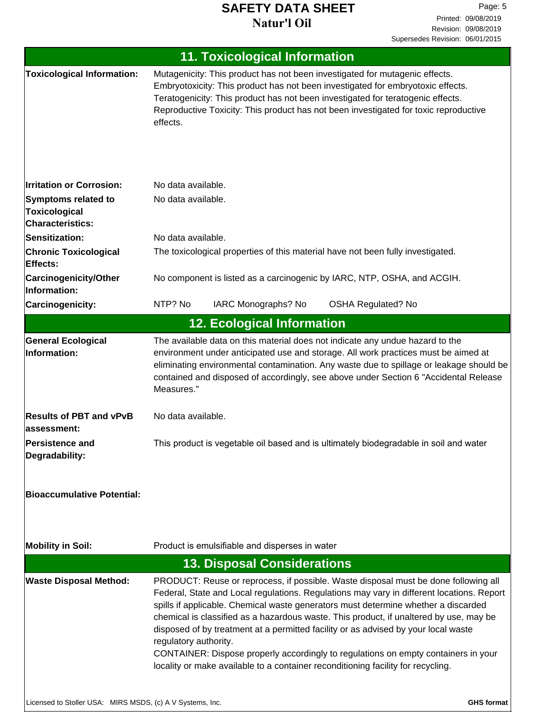# **SAFETY DATA SHEET** Page: 5 **Natur'l Oil**

Printed: 09/08/2019 Revision: 09/08/2019 Supersedes Revision: 06/01/2015

|                                                                               | <b>11. Toxicological Information</b>                                                                                                                                                                                                                                                                                                                                                                                                                                                                                                                                                                                                                      |
|-------------------------------------------------------------------------------|-----------------------------------------------------------------------------------------------------------------------------------------------------------------------------------------------------------------------------------------------------------------------------------------------------------------------------------------------------------------------------------------------------------------------------------------------------------------------------------------------------------------------------------------------------------------------------------------------------------------------------------------------------------|
| <b>Toxicological Information:</b>                                             | Mutagenicity: This product has not been investigated for mutagenic effects.<br>Embryotoxicity: This product has not been investigated for embryotoxic effects.<br>Teratogenicity: This product has not been investigated for teratogenic effects.<br>Reproductive Toxicity: This product has not been investigated for toxic reproductive<br>effects.                                                                                                                                                                                                                                                                                                     |
| <b>Irritation or Corrosion:</b>                                               | No data available.                                                                                                                                                                                                                                                                                                                                                                                                                                                                                                                                                                                                                                        |
| <b>Symptoms related to</b><br><b>Toxicological</b><br><b>Characteristics:</b> | No data available.                                                                                                                                                                                                                                                                                                                                                                                                                                                                                                                                                                                                                                        |
| <b>Sensitization:</b>                                                         | No data available.                                                                                                                                                                                                                                                                                                                                                                                                                                                                                                                                                                                                                                        |
| <b>Chronic Toxicological</b><br>Effects:                                      | The toxicological properties of this material have not been fully investigated.                                                                                                                                                                                                                                                                                                                                                                                                                                                                                                                                                                           |
| <b>Carcinogenicity/Other</b><br>Information:                                  | No component is listed as a carcinogenic by IARC, NTP, OSHA, and ACGIH.                                                                                                                                                                                                                                                                                                                                                                                                                                                                                                                                                                                   |
| Carcinogenicity:                                                              | IARC Monographs? No<br>NTP? No<br><b>OSHA Regulated? No</b>                                                                                                                                                                                                                                                                                                                                                                                                                                                                                                                                                                                               |
|                                                                               | <b>12. Ecological Information</b>                                                                                                                                                                                                                                                                                                                                                                                                                                                                                                                                                                                                                         |
| <b>General Ecological</b><br>Information:                                     | The available data on this material does not indicate any undue hazard to the<br>environment under anticipated use and storage. All work practices must be aimed at<br>eliminating environmental contamination. Any waste due to spillage or leakage should be<br>contained and disposed of accordingly, see above under Section 6 "Accidental Release<br>Measures."                                                                                                                                                                                                                                                                                      |
| <b>Results of PBT and vPvB</b><br>assessment:                                 | No data available.                                                                                                                                                                                                                                                                                                                                                                                                                                                                                                                                                                                                                                        |
| <b>Persistence and</b><br>Degradability:                                      | This product is vegetable oil based and is ultimately biodegradable in soil and water                                                                                                                                                                                                                                                                                                                                                                                                                                                                                                                                                                     |
| <b>Bioaccumulative Potential:</b>                                             |                                                                                                                                                                                                                                                                                                                                                                                                                                                                                                                                                                                                                                                           |
| <b>Mobility in Soil:</b>                                                      | Product is emulsifiable and disperses in water                                                                                                                                                                                                                                                                                                                                                                                                                                                                                                                                                                                                            |
|                                                                               | <b>13. Disposal Considerations</b>                                                                                                                                                                                                                                                                                                                                                                                                                                                                                                                                                                                                                        |
| <b>Waste Disposal Method:</b>                                                 | PRODUCT: Reuse or reprocess, if possible. Waste disposal must be done following all<br>Federal, State and Local regulations. Regulations may vary in different locations. Report<br>spills if applicable. Chemical waste generators must determine whether a discarded<br>chemical is classified as a hazardous waste. This product, if unaltered by use, may be<br>disposed of by treatment at a permitted facility or as advised by your local waste<br>regulatory authority.<br>CONTAINER: Dispose properly accordingly to regulations on empty containers in your<br>locality or make available to a container reconditioning facility for recycling. |
| Licensed to Stoller USA: MIRS MSDS, (c) A V Systems, Inc.                     | <b>GHS format</b>                                                                                                                                                                                                                                                                                                                                                                                                                                                                                                                                                                                                                                         |